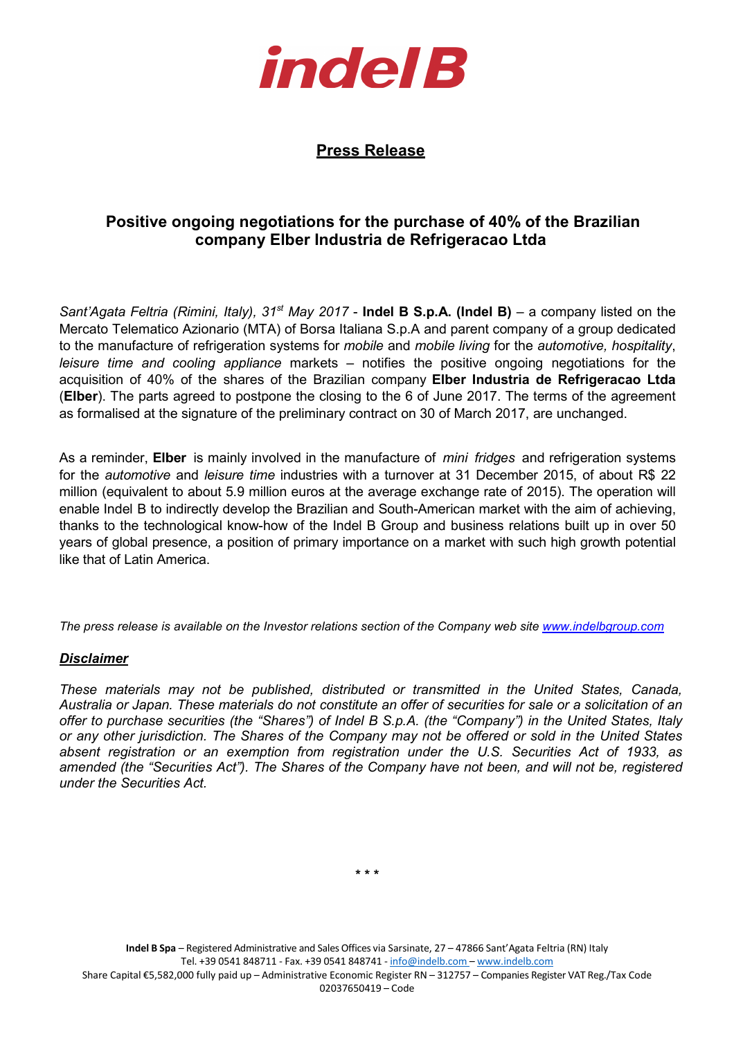

## **Press Release**

## **Positive ongoing negotiations for the purchase of 40% of the Brazilian company Elber Industria de Refrigeracao Ltda**

*Sant'Agata Feltria (Rimini, Italy), 31st May 2017* - **Indel B S.p.A. (Indel B)** – a company listed on the Mercato Telematico Azionario (MTA) of Borsa Italiana S.p.A and parent company of a group dedicated to the manufacture of refrigeration systems for *mobile* and *mobile living* for the *automotive, hospitality*, *leisure time and cooling appliance* markets – notifies the positive ongoing negotiations for the acquisition of 40% of the shares of the Brazilian company **Elber Industria de Refrigeracao Ltda**  (**Elber**). The parts agreed to postpone the closing to the 6 of June 2017. The terms of the agreement as formalised at the signature of the preliminary contract on 30 of March 2017, are unchanged.

As a reminder, **Elber** is mainly involved in the manufacture of *mini fridges* and refrigeration systems for the *automotive* and *leisure time* industries with a turnover at 31 December 2015, of about R\$ 22 million (equivalent to about 5.9 million euros at the average exchange rate of 2015). The operation will enable Indel B to indirectly develop the Brazilian and South-American market with the aim of achieving, thanks to the technological know-how of the Indel B Group and business relations built up in over 50 years of global presence, a position of primary importance on a market with such high growth potential like that of Latin America.

*The press release is available on the Investor relations section of the Company web site www.indelbgroup.com*

## *Disclaimer*

*These materials may not be published, distributed or transmitted in the United States, Canada, Australia or Japan. These materials do not constitute an offer of securities for sale or a solicitation of an offer to purchase securities (the "Shares") of Indel B S.p.A. (the "Company") in the United States, Italy or any other jurisdiction. The Shares of the Company may not be offered or sold in the United States absent registration or an exemption from registration under the U.S. Securities Act of 1933, as amended (the "Securities Act"). The Shares of the Company have not been, and will not be, registered under the Securities Act.* 

**\* \* \***